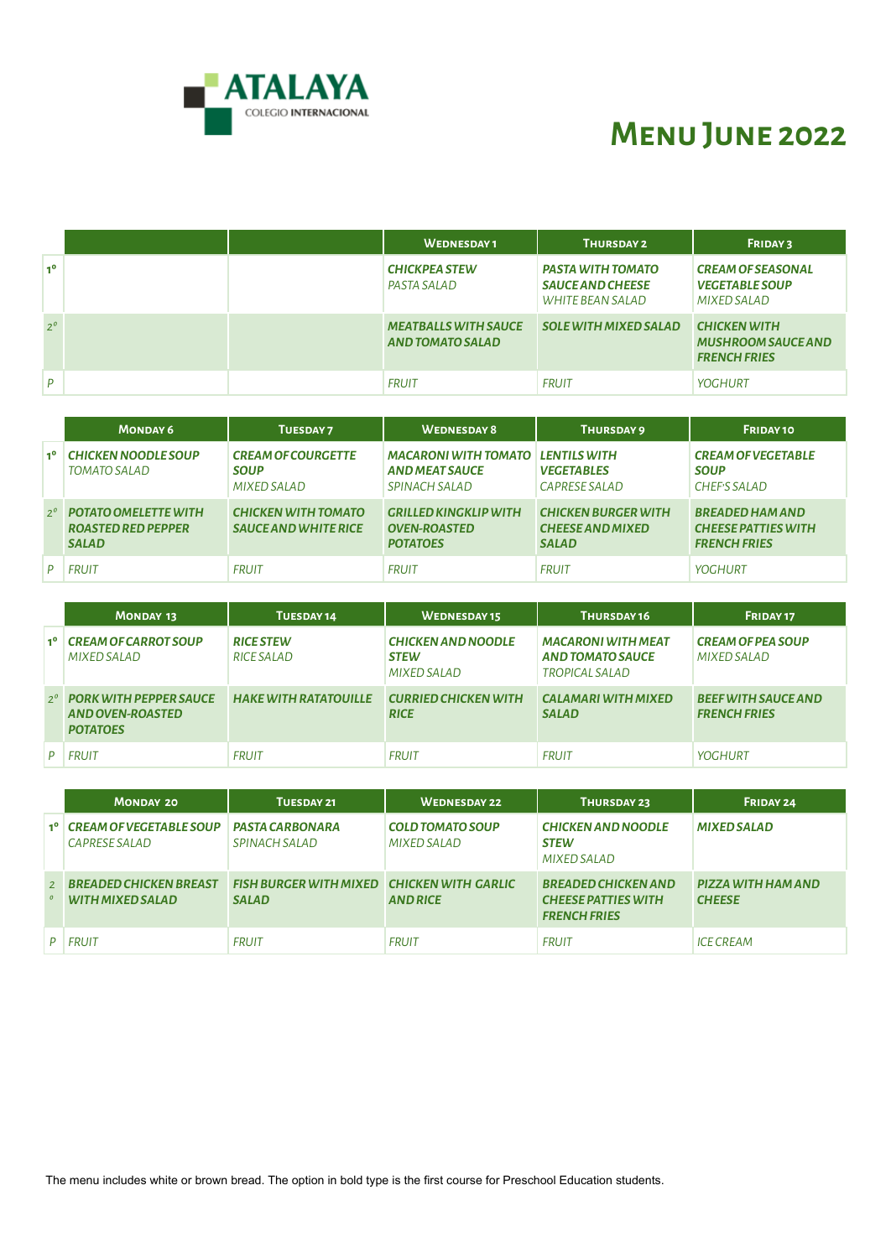

# **Menu June 2022**

|                |  | <b>WEDNESDAY1</b>                                      | THURSDAY 2                                                              | <b>FRIDAY 3</b>                                                         |
|----------------|--|--------------------------------------------------------|-------------------------------------------------------------------------|-------------------------------------------------------------------------|
| 1 <sup>0</sup> |  | <b>CHICKPEA STEW</b><br>PASTA SALAD                    | <b>PASTA WITH TOMATO</b><br><b>SAUCE AND CHEESE</b><br>WHITE BEAN SALAD | <b>CREAM OF SEASONAL</b><br><b>VEGETABLE SOUP</b><br><b>MIXED SALAD</b> |
| $2^{\circ}$    |  | <b>MEATBALLS WITH SAUCE</b><br><b>AND TOMATO SALAD</b> | <b>SOLE WITH MIXED SALAD</b>                                            | <b>CHICKEN WITH</b><br><b>MUSHROOM SAUCE AND</b><br><b>FRENCH FRIES</b> |
| P              |  | <b>FRUIT</b>                                           | <b>FRUIT</b>                                                            | <b>YOGHURT</b>                                                          |

|                | <b>MONDAY 6</b>                                                               | <b>TUESDAY7</b>                                           | <b>WEDNESDAY 8</b>                                                     | THURSDAY 9                                                            | FRIDAY 10                                                                   |
|----------------|-------------------------------------------------------------------------------|-----------------------------------------------------------|------------------------------------------------------------------------|-----------------------------------------------------------------------|-----------------------------------------------------------------------------|
| 1 <sup>0</sup> | <b>CHICKEN NOODLE SOUP</b><br><b>TOMATO SALAD</b>                             | <b>CREAM OF COURGETTE</b><br><b>SOUP</b><br>MIXED SALAD   | <b>MACARONI WITH TOMATO</b><br><b>AND MEAT SAUCE</b><br>SPINACH SALAD  | <b>LENTILS WITH</b><br><b>VEGETABLES</b><br>CAPRESE SALAD             | <b>CREAM OF VEGETABLE</b><br><b>SOUP</b><br><b>CHEF'S SALAD</b>             |
|                | $2^{\circ}$ POTATO OMELETTE WITH<br><b>ROASTED RED PEPPER</b><br><b>SALAD</b> | <b>CHICKEN WITH TOMATO</b><br><b>SAUCE AND WHITE RICE</b> | <b>GRILLED KINGKLIP WITH</b><br><b>OVEN-ROASTED</b><br><b>POTATOES</b> | <b>CHICKEN BURGER WITH</b><br><b>CHEESE AND MIXED</b><br><b>SALAD</b> | <b>BREADED HAM AND</b><br><b>CHEESE PATTIES WITH</b><br><b>FRENCH FRIES</b> |
|                | <b>FRUIT</b>                                                                  | <b>FRUIT</b>                                              | <b>FRUIT</b>                                                           | <b>FRUIT</b>                                                          | YOGHURT                                                                     |

|                  | <b>MONDAY 13</b>                                                                 | TUESDAY 14                     | <b>WEDNESDAY15</b>                                             | THURSDAY 16                                                            | FRIDAY 17                                         |
|------------------|----------------------------------------------------------------------------------|--------------------------------|----------------------------------------------------------------|------------------------------------------------------------------------|---------------------------------------------------|
| 110 <sub>1</sub> | <b>CREAM OF CARROT SOUP</b><br>MIXED SALAD                                       | <b>RICE STEW</b><br>RICE SALAD | <b>CHICKEN AND NOODLE</b><br><b>STEW</b><br><b>MIXED SALAD</b> | <b>MACARONI WITH MEAT</b><br><b>AND TOMATO SAUCE</b><br>TROPICAL SALAD | <b>CREAM OF PEA SOUP</b><br><b>MIXED SALAD</b>    |
|                  | $2^{\circ}$ PORK WITH PEPPER SAUCE<br><b>AND OVEN-ROASTED</b><br><b>POTATOES</b> | <b>HAKE WITH RATATOUILLE</b>   | <b>CURRIED CHICKEN WITH</b><br><b>RICE</b>                     | <b>CALAMARI WITH MIXED</b><br><b>SALAD</b>                             | <b>BEEF WITH SAUCE AND</b><br><b>FRENCH FRIES</b> |
|                  | <b>FRUIT</b>                                                                     | <b>FRUIT</b>                   | <b>FRUIT</b>                                                   | <b>FRUIT</b>                                                           | <b>YOGHURT</b>                                    |

|                | <b>MONDAY 20</b>                                  | TUESDAY 21                                                 | <b>WEDNESDAY 22</b>                    | THURSDAY 23                                                                     | FRIDAY 24                           |
|----------------|---------------------------------------------------|------------------------------------------------------------|----------------------------------------|---------------------------------------------------------------------------------|-------------------------------------|
|                | 1º CREAM OF VEGETABLE SOUP<br>CAPRESE SALAD       | <b>PASTA CARBONARA</b><br>SPINACH SALAD                    | <b>COLD TOMATO SOUP</b><br>MIXED SALAD | <b>CHICKEN AND NOODLE</b><br><b>STEW</b><br><b>MIXED SALAD</b>                  | <b>MIXED SALAD</b>                  |
| $\overline{2}$ | <b>BREADED CHICKEN BREAST</b><br>WITH MIXED SALAD | FISH BURGER WITH MIXED CHICKEN WITH GARLIC<br><b>SALAD</b> | <b>AND RICE</b>                        | <b>BREADED CHICKEN AND</b><br><b>CHEESE PATTIES WITH</b><br><b>FRENCH FRIES</b> | PIZZA WITH HAM AND<br><b>CHEESE</b> |
|                | <b>FRUIT</b>                                      | <b>FRUIT</b>                                               | <b>FRUIT</b>                           | <b>FRUIT</b>                                                                    | <b>ICE CREAM</b>                    |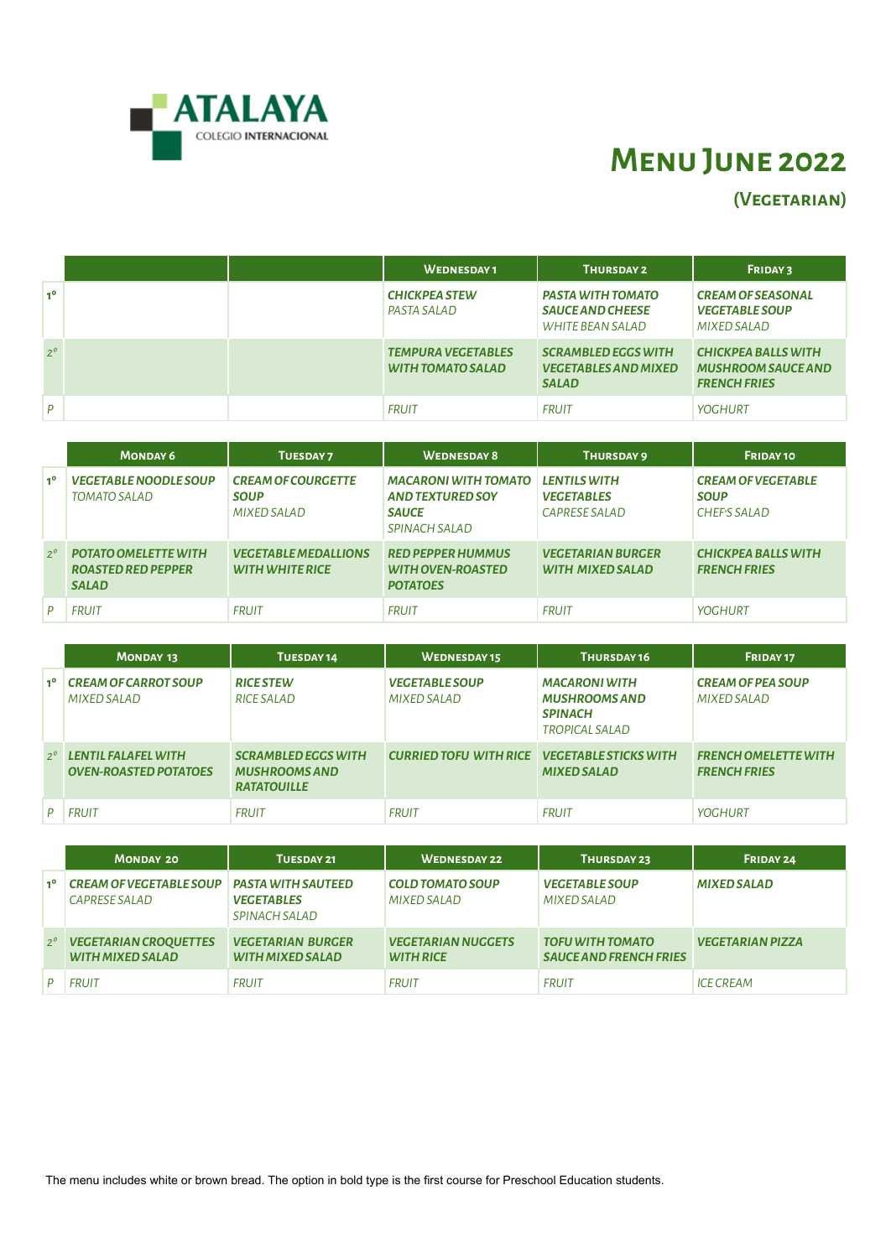

# **Menu June 2022**

**(Vegetarian)**

|                |  | <b>WEDNESDAY1</b>                                     | THURSDAY 2                                                                | <b>FRIDAY 3</b>                                                                |
|----------------|--|-------------------------------------------------------|---------------------------------------------------------------------------|--------------------------------------------------------------------------------|
| 1 <sup>0</sup> |  | <b>CHICKPEA STEW</b><br>PASTA SALAD                   | PASTA WITH TOMATO<br><b>SAUCE AND CHEESE</b><br>WHITE BEAN SALAD          | <b>CREAM OF SEASONAL</b><br><b>VEGETABLE SOUP</b><br><b>MIXED SALAD</b>        |
| $2^{\circ}$    |  | <b>TEMPURA VEGETABLES</b><br><b>WITH TOMATO SALAD</b> | <b>SCRAMBLED EGGS WITH</b><br><b>VEGETABLES AND MIXED</b><br><b>SALAD</b> | <b>CHICKPEA BALLS WITH</b><br><b>MUSHROOM SAUCE AND</b><br><b>FRENCH FRIES</b> |
| D              |  | <b>FRUIT</b>                                          | <b>FRUIT</b>                                                              | <b>YOGHURT</b>                                                                 |

|             | <b>MONDAY 6</b>                                                   | TUESDAY 7                                               | <b>WEDNESDAY 8</b>                                                                      | THURSDAY 9                                                | FRIDAY 10                                                      |
|-------------|-------------------------------------------------------------------|---------------------------------------------------------|-----------------------------------------------------------------------------------------|-----------------------------------------------------------|----------------------------------------------------------------|
| $1^{\circ}$ | <b>VEGETABLE NOODLE SOUP</b><br>TOMATO SALAD                      | <b>CREAM OF COURGETTE</b><br><b>SOUP</b><br>MIXED SALAD | <b>MACARONI WITH TOMATO</b><br><b>AND TEXTURED SOY</b><br><b>SAUCE</b><br>SPINACH SALAD | <b>LENTILS WITH</b><br><b>VEGETABLES</b><br>CAPRESE SALAD | <b>CREAM OF VEGETABLE</b><br><b>SOUP</b><br><b>CHEFS SALAD</b> |
| $2^{\circ}$ | POTATO OMELETTE WITH<br><b>ROASTED RED PEPPER</b><br><b>SALAD</b> | <b>VEGETABLE MEDALLIONS</b><br><b>WITH WHITE RICE</b>   | <b>RED PEPPER HUMMUS</b><br><b>WITH OVEN-ROASTED</b><br><b>POTATOES</b>                 | <b>VEGETARIAN BURGER</b><br><b>WITH MIXED SALAD</b>       | <b>CHICKPEA BALLS WITH</b><br><b>FRENCH FRIES</b>              |
| D           | <b>FRUIT</b>                                                      | <b>FRUIT</b>                                            | <b>FRUIT</b>                                                                            | <b>FRUIT</b>                                              | <b>YOGHURT</b>                                                 |

|             | <b>MONDAY 13</b>                                    | TUESDAY 14                                                               | <b>WEDNESDAY15</b>                                  | THURSDAY 16                                                                             | FRIDAY 17                                          |
|-------------|-----------------------------------------------------|--------------------------------------------------------------------------|-----------------------------------------------------|-----------------------------------------------------------------------------------------|----------------------------------------------------|
| 10          | <b>CREAM OF CARROT SOUP</b><br>MIXED SALAD          | <b>RICE STEW</b><br>RICE SALAD                                           | <b>VEGETABLE SOUP</b><br><b>MIXED SALAD</b>         | <b>MACARONI WITH</b><br><b>MUSHROOMS AND</b><br><b>SPINACH</b><br><b>TROPICAL SALAD</b> | <b>CREAM OF PEA SOUP</b><br><b>MIXED SALAD</b>     |
| $2^{\circ}$ | LENTIL FALAFEL WITH<br><b>OVEN-ROASTED POTATOES</b> | <b>SCRAMBLED EGGS WITH</b><br><b>MUSHROOMS AND</b><br><b>RATATOUILLE</b> | <b>CURRIED TOFU WITH RICE VEGETABLE STICKS WITH</b> | <b>MIXED SALAD</b>                                                                      | <b>FRENCH OMELETTE WITH</b><br><b>FRENCH FRIES</b> |
|             | <b>FRUIT</b>                                        | <b>FRUIT</b>                                                             | <b>FRUIT</b>                                        | <b>FRUIT</b>                                                                            | <b>YOGHURT</b>                                     |

|             | <b>MONDAY 20</b>                                 | TUESDAY 21                                                      | <b>WEDNESDAY 22</b>                           | THURSDAY 23                                              | FRIDAY 24               |
|-------------|--------------------------------------------------|-----------------------------------------------------------------|-----------------------------------------------|----------------------------------------------------------|-------------------------|
| $1^{\circ}$ | <b>CREAM OF VEGETABLE SOUP</b><br>CAPRESE SALAD  | <b>PASTA WITH SAUTEED</b><br><b>VEGETABLES</b><br>SPINACH SALAD | <b>COLD TOMATO SOUP</b><br><b>MIXED SALAD</b> | <b>VEGETABLE SOUP</b><br><b>MIXED SALAD</b>              | <b>MIXED SALAD</b>      |
| $2^{\circ}$ | <b>VEGETARIAN CROQUETTES</b><br>WITH MIXED SALAD | <b>VEGETARIAN BURGER</b><br><b>WITH MIXED SALAD</b>             | <b>VEGETARIAN NUGGETS</b><br><b>WITH RICE</b> | <b>TOFU WITH TOMATO</b><br><b>SAUCE AND FRENCH FRIES</b> | <b>VEGETARIAN PIZZA</b> |
|             | <b>FRUIT</b>                                     | <b>FRUIT</b>                                                    | <b>FRUIT</b>                                  | <b>FRUIT</b>                                             | <b>ICE CREAM</b>        |

The menu includes white or brown bread. The option in bold type is the first course for Preschool Education students.